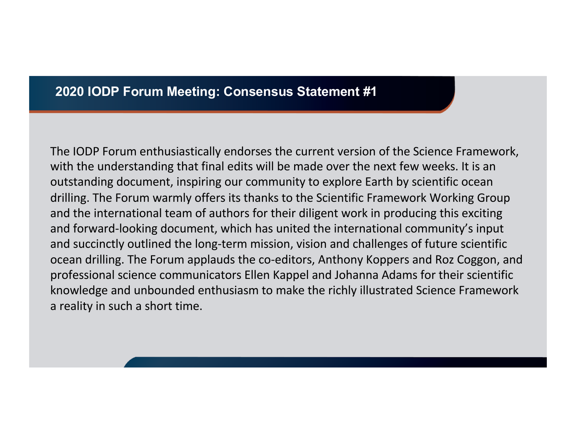## **2020 IODP Forum Meeting: Consensus Statement #1**

The IODP Forum enthusiastically endorses the current version of the Science Framework, with the understanding that final edits will be made over the next few weeks. It is an outstanding document, inspiring our community to explore Earth by scientific ocean drilling. The Forum warmly offers its thanks to the Scientific Framework Working Group and the international team of authors for their diligent work in producing this exciting and forward-looking document, which has united the international community's input and succinctly outlined the long-term mission, vision and challenges of future scientific ocean drilling. The Forum applauds the co-editors, Anthony Koppers and Roz Coggon, and professional science communicators Ellen Kappel and Johanna Adams for their scientific knowledge and unbounded enthusiasm to make the richly illustrated Science Framework a reality in such a short time.